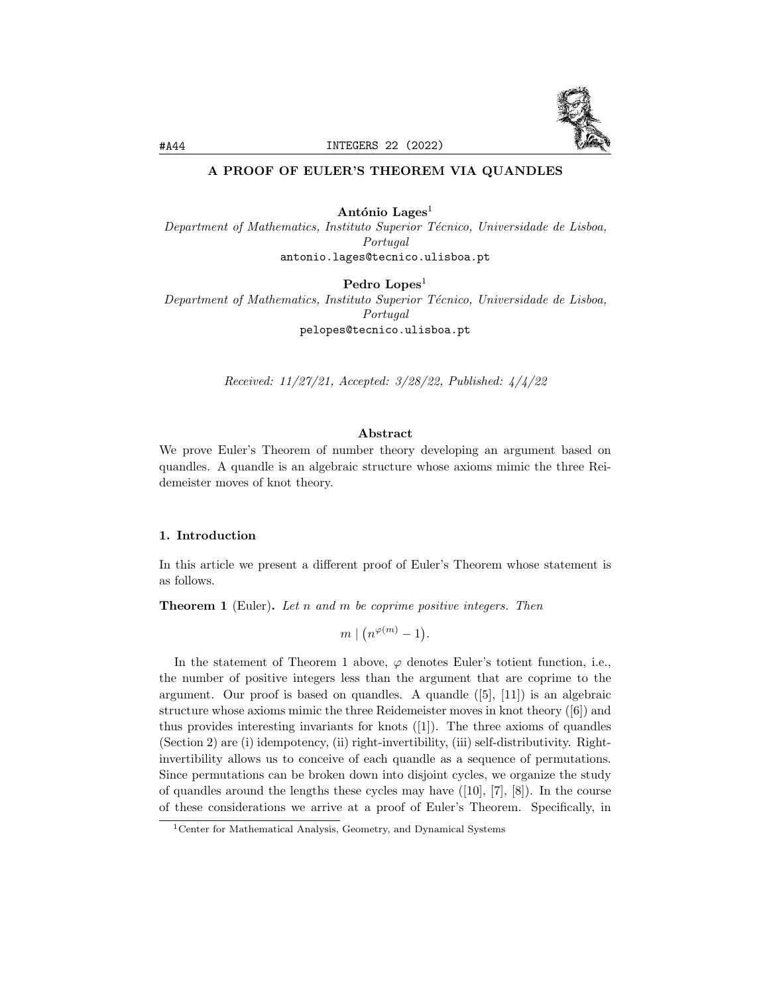

# A PROOF OF EULER'S THEOREM VIA QUANDLES

António Lages<sup>1</sup> Department of Mathematics, Instituto Superior Técnico, Universidade de Lisboa, Portugal antonio.lages@tecnico.ulisboa.pt

Pedro Lopes<sup>1</sup> Department of Mathematics, Instituto Superior Técnico, Universidade de Lisboa, Portugal pelopes@tecnico.ulisboa.pt

Received: 11/27/21, Accepted: 3/28/22, Published: 4/4/22

### Abstract

We prove Euler's Theorem of number theory developing an argument based on quandles. A quandle is an algebraic structure whose axioms mimic the three Reidemeister moves of knot theory.

## 1. Introduction

In this article we present a different proof of Euler's Theorem whose statement is as follows.

**Theorem 1** (Euler). Let n and m be coprime positive integers. Then

$$
m \mid (n^{\varphi(m)} - 1).
$$

In the statement of Theorem 1 above,  $\varphi$  denotes Euler's totient function, i.e., the number of positive integers less than the argument that are coprime to the argument. Our proof is based on quandles. A quandle ([5], [11]) is an algebraic structure whose axioms mimic the three Reidemeister moves in knot theory ([6]) and thus provides interesting invariants for knots ([1]). The three axioms of quandles (Section 2) are (i) idempotency, (ii) right-invertibility, (iii) self-distributivity. Rightinvertibility allows us to conceive of each quandle as a sequence of permutations. Since permutations can be broken down into disjoint cycles, we organize the study of quandles around the lengths these cycles may have  $([10], [7], [8])$ . In the course of these considerations we arrive at a proof of Euler's Theorem. Specifically, in

<sup>1</sup>Center for Mathematical Analysis, Geometry, and Dynamical Systems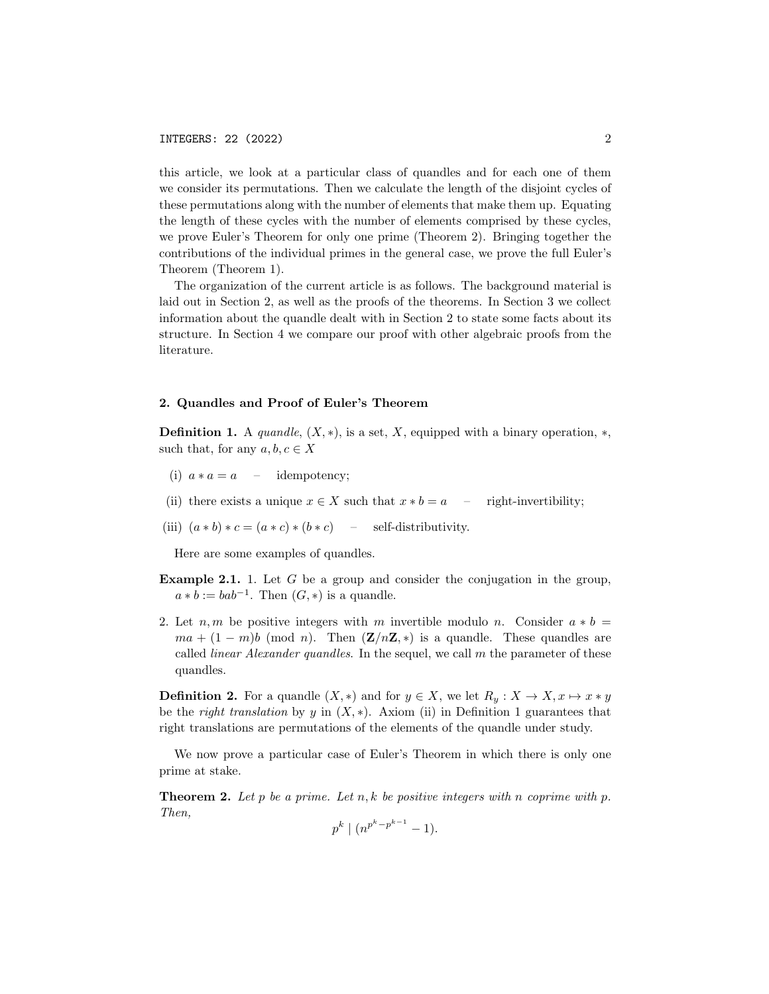this article, we look at a particular class of quandles and for each one of them we consider its permutations. Then we calculate the length of the disjoint cycles of these permutations along with the number of elements that make them up. Equating the length of these cycles with the number of elements comprised by these cycles, we prove Euler's Theorem for only one prime (Theorem 2). Bringing together the contributions of the individual primes in the general case, we prove the full Euler's Theorem (Theorem 1).

The organization of the current article is as follows. The background material is laid out in Section 2, as well as the proofs of the theorems. In Section 3 we collect information about the quandle dealt with in Section 2 to state some facts about its structure. In Section 4 we compare our proof with other algebraic proofs from the literature.

#### 2. Quandles and Proof of Euler's Theorem

**Definition 1.** A *quandle*,  $(X, *)$ , is a set, X, equipped with a binary operation,  $*$ , such that, for any  $a, b, c \in X$ 

- (i)  $a * a = a$  idempotency;
- (ii) there exists a unique  $x \in X$  such that  $x * b = a$  right-invertibility;
- (iii)  $(a * b) * c = (a * c) * (b * c)$  self-distributivity.

Here are some examples of quandles.

- Example 2.1. 1. Let G be a group and consider the conjugation in the group,  $a * b := bab^{-1}$ . Then  $(G, *)$  is a quandle.
- 2. Let  $n, m$  be positive integers with m invertible modulo n. Consider  $a * b =$  $ma + (1 - m)b \pmod{n}$ . Then  $(\mathbf{Z}/n\mathbf{Z}, *)$  is a quandle. These quandles are called *linear Alexander quandles*. In the sequel, we call  $m$  the parameter of these quandles.

**Definition 2.** For a quandle  $(X, *)$  and for  $y \in X$ , we let  $R_y: X \to X, x \mapsto x * y$ be the right translation by y in  $(X, *)$ . Axiom (ii) in Definition 1 guarantees that right translations are permutations of the elements of the quandle under study.

We now prove a particular case of Euler's Theorem in which there is only one prime at stake.

**Theorem 2.** Let p be a prime. Let n, k be positive integers with n coprime with p. Then,

$$
p^k \mid (n^{p^k - p^{k-1}} - 1).
$$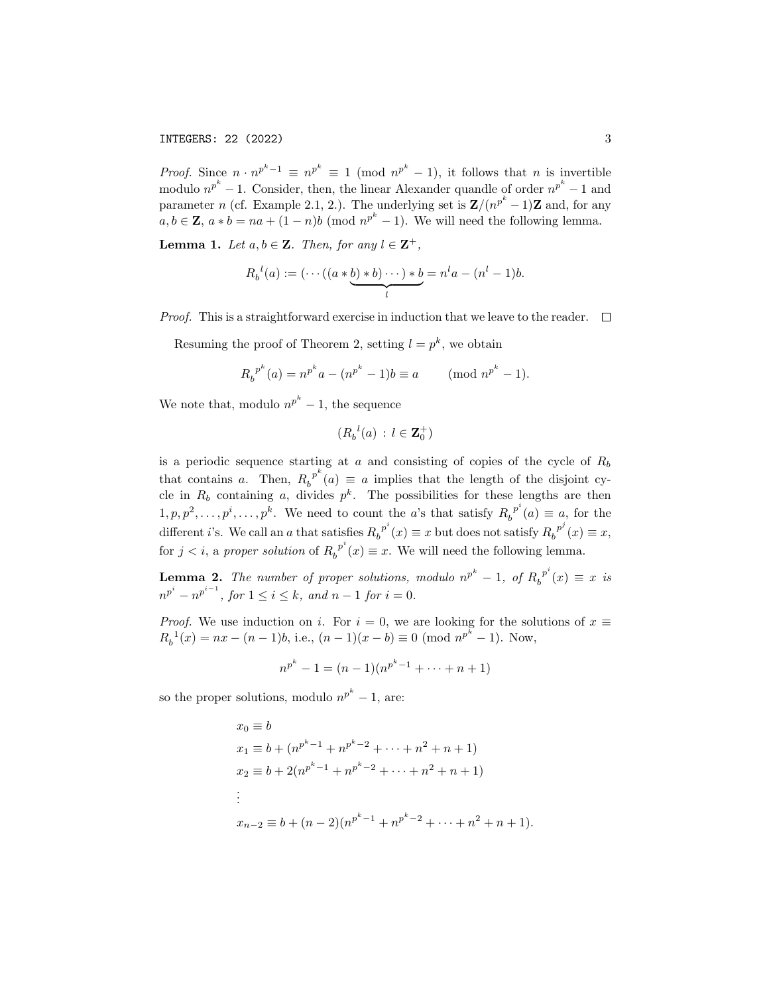*Proof.* Since  $n \cdot n^{p^k-1} \equiv n^{p^k} \equiv 1 \pmod{n^{p^k}-1}$ , it follows that *n* is invertible modulo  $n^{p^k} - 1$ . Consider, then, the linear Alexander quandle of order  $n^{p^k} - 1$  and parameter n (cf. Example 2.1, 2.). The underlying set is  $\mathbf{Z}/(n^{p^k}-1)\mathbf{Z}$  and, for any  $a, b \in \mathbb{Z}$ ,  $a * b = na + (1 - n)b \pmod{n^{p^k} - 1}$ . We will need the following lemma.

**Lemma 1.** Let  $a, b \in \mathbb{Z}$ . Then, for any  $l \in \mathbb{Z}^+$ ,

$$
R_b^{\ l}(a) := \left(\cdots\left(\left(a \ast \underbrace{b) \ast b}\right) \cdots\right) \ast \underbrace{b}_{l} = n^l a - (n^l - 1)b.
$$

*Proof.* This is a straightforward exercise in induction that we leave to the reader.  $\square$ 

Resuming the proof of Theorem 2, setting  $l = p^k$ , we obtain

$$
R_b^{p^k}(a) = n^{p^k}a - (n^{p^k} - 1)b \equiv a \quad (\text{mod } n^{p^k} - 1).
$$

We note that, modulo  $n^{p^k} - 1$ , the sequence

$$
(R_b{}^l(a) : l \in \mathbf{Z}_0^+)
$$

is a periodic sequence starting at  $a$  and consisting of copies of the cycle of  $R_b$ that contains a. Then,  $R_h^{p^k}$  $b^{p^r}(a) \equiv a$  implies that the length of the disjoint cycle in  $R_b$  containing a, divides  $p^k$ . The possibilities for these lengths are then  $1, p, p^2, \ldots, p^i, \ldots, p^k$ . We need to count the *a*'s that satisfy  $R_p^{p^i}$  $b^{p}(a) \equiv a$ , for the different *i*'s. We call an *a* that satisfies  $R_h^{p^i}$  $b^{p^i}(x) \equiv x$  but does not satisfy  $R_b^{p^j}$  $b^{p^{\alpha}}(x) \equiv x,$ for  $j < i$ , a proper solution of  $R_h^{p^i}$  $b^{p}(x) \equiv x$ . We will need the following lemma.

**Lemma 2.** The number of proper solutions, modulo  $n^{p^k} - 1$ , of  $R_p^{p^k}$  $b^{p^r}(x) \equiv x$  is  $n^{p^{i}} - n^{p^{i-1}}$ , for  $1 \leq i \leq k$ , and  $n-1$  for  $i = 0$ .

*Proof.* We use induction on i. For  $i = 0$ , we are looking for the solutions of  $x \equiv$  $R_b^{-1}(x) = nx - (n-1)b$ , i.e.,  $(n-1)(x - b) \equiv 0 \pmod{n^{p^k} - 1}$ . Now,

$$
n^{p^k} - 1 = (n - 1)(n^{p^k - 1} + \dots + n + 1)
$$

so the proper solutions, modulo  $n^{p^k} - 1$ , are:

$$
x_0 \equiv b
$$
  
\n
$$
x_1 \equiv b + (n^{p^k - 1} + n^{p^k - 2} + \dots + n^2 + n + 1)
$$
  
\n
$$
x_2 \equiv b + 2(n^{p^k - 1} + n^{p^k - 2} + \dots + n^2 + n + 1)
$$
  
\n
$$
\vdots
$$
  
\n
$$
x_{n-2} \equiv b + (n-2)(n^{p^k - 1} + n^{p^k - 2} + \dots + n^2 + n + 1).
$$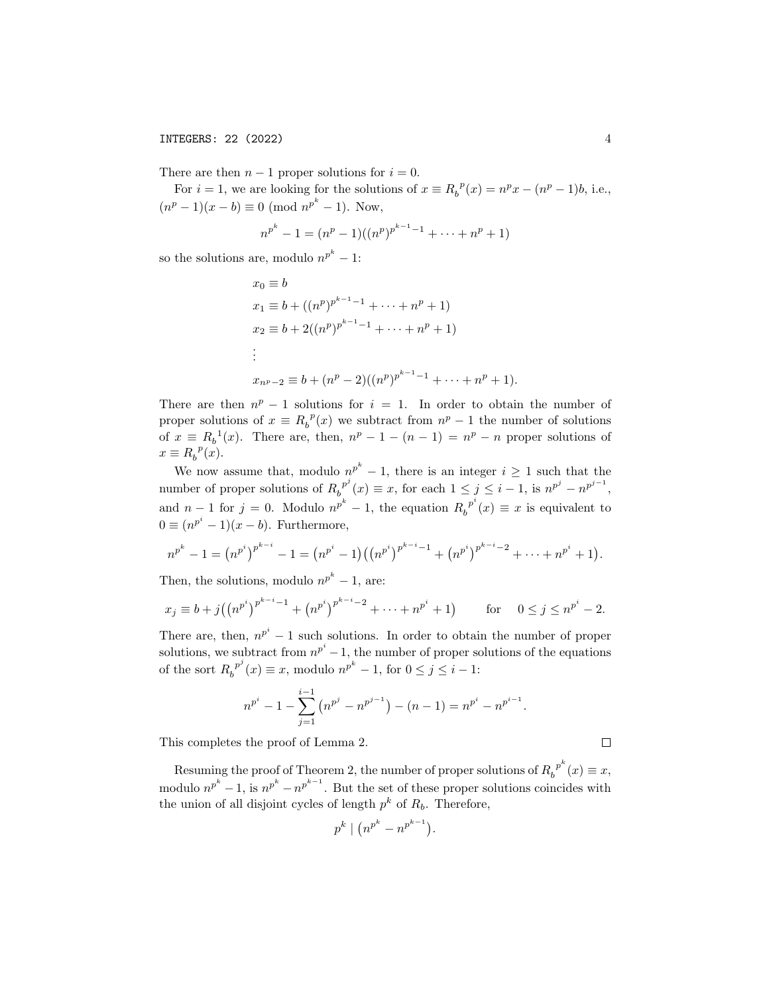There are then  $n-1$  proper solutions for  $i = 0$ .

For  $i = 1$ , we are looking for the solutions of  $x \equiv R_b^p(x) = n^p x - (n^p - 1)b$ , i.e.,  $(n^p - 1)(x - b) \equiv 0 \pmod{n^{p^k} - 1}$ . Now,

$$
n^{p^k} - 1 = (n^p - 1)((n^p)^{p^{k-1}-1} + \dots + n^p + 1)
$$

so the solutions are, modulo  $n^{p^k} - 1$ :

$$
x_0 \equiv b
$$
  
\n
$$
x_1 \equiv b + ((n^p)^{p^{k-1}-1} + \dots + n^p + 1)
$$
  
\n
$$
x_2 \equiv b + 2((n^p)^{p^{k-1}-1} + \dots + n^p + 1)
$$
  
\n:  
\n:  
\n
$$
x_{n^p-2} \equiv b + (n^p - 2)((n^p)^{p^{k-1}-1} + \dots + n^p + 1).
$$

There are then  $n^p - 1$  solutions for  $i = 1$ . In order to obtain the number of proper solutions of  $x \equiv R_b^p(x)$  we subtract from  $n^p - 1$  the number of solutions of  $x \equiv R_b^{-1}(x)$ . There are, then,  $n^p - 1 - (n - 1) = n^p - n$  proper solutions of  $x \equiv R_b^{\ p}(x)$ .

We now assume that, modulo  $n^{p^k} - 1$ , there is an integer  $i \geq 1$  such that the number of proper solutions of  $R_h^{p^j}$  $b^{p^j}(x) \equiv x$ , for each  $1 \le j \le i - 1$ , is  $n^{p^j} - n^{p^{j-1}}$ , and  $n-1$  for  $j=0$ . Modulo  $n^{p^k}-1$ , the equation  $R_h^{p^k}$  $b^{p}(x) \equiv x$  is equivalent to  $0 \equiv (n^{p^i} - 1)(x - b)$ . Furthermore,

$$
n^{p^k}-1=(n^{p^i})^{p^{k-i}}-1=(n^{p^i}-1)((n^{p^i})^{p^{k-i}-1}+(n^{p^i})^{p^{k-i}-2}+\cdots+n^{p^i}+1).
$$

Then, the solutions, modulo  $n^{p^k} - 1$ , are:

$$
x_j \equiv b + j \left( \left( n^{p^i} \right)^{p^{k-i}-1} + \left( n^{p^i} \right)^{p^{k-i}-2} + \dots + n^{p^i} + 1 \right) \qquad \text{for} \quad 0 \le j \le n^{p^i} - 2.
$$

There are, then,  $n^{p^i} - 1$  such solutions. In order to obtain the number of proper solutions, we subtract from  $n^{p^i}-1$ , the number of proper solutions of the equations of the sort  $R_h^{\ p^j}$  $b<sup>p<sup>j</sup></sup>(x) \equiv x$ , modulo  $n^{p<sup>k</sup>}-1$ , for  $0 \le j \le i-1$ :

$$
n^{p^{i}} - 1 - \sum_{j=1}^{i-1} (n^{p^{j}} - n^{p^{j-1}}) - (n - 1) = n^{p^{i}} - n^{p^{i-1}}.
$$

This completes the proof of Lemma 2.

 $\Box$ 

Resuming the proof of Theorem 2, the number of proper solutions of  $R_h^{p^k}$  $b^{p^{n}}(x) \equiv x,$ modulo  $n^{p^k} - 1$ , is  $n^{p^k} - n^{p^{k-1}}$ . But the set of these proper solutions coincides with the union of all disjoint cycles of length  $p^k$  of  $R_b$ . Therefore,

$$
p^k \mid \left(n^{p^k} - n^{p^{k-1}}\right).
$$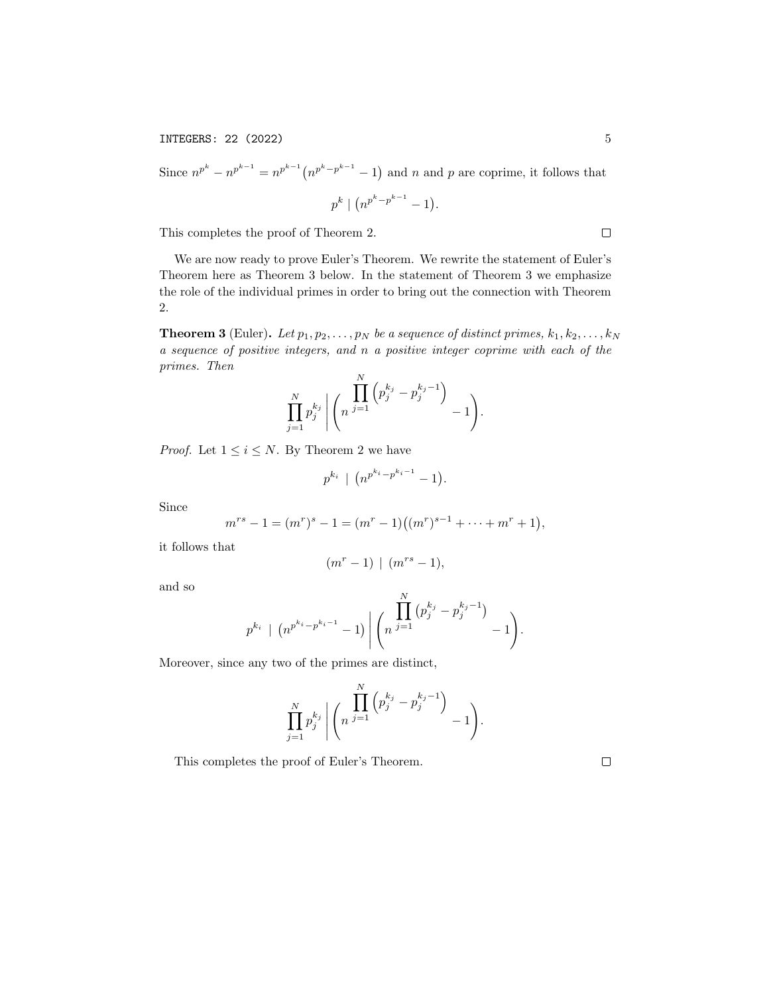Since  $n^{p^k} - n^{p^{k-1}} = n^{p^{k-1}} (n^{p^k-p^{k-1}}-1)$  and n and p are coprime, it follows that  $p^k \mid (n^{p^k-p^{k-1}}-1).$ 

This completes the proof of Theorem 2.

We are now ready to prove Euler's Theorem. We rewrite the statement of Euler's Theorem here as Theorem 3 below. In the statement of Theorem 3 we emphasize the role of the individual primes in order to bring out the connection with Theorem 2.

**Theorem 3** (Euler). Let  $p_1, p_2, \ldots, p_N$  be a sequence of distinct primes,  $k_1, k_2, \ldots, k_N$ a sequence of positive integers, and n a positive integer coprime with each of the primes. Then

$$
\prod_{j=1}^N p_j^{k_j} \left| \left(n \prod_{j=1}^N \left(p_j^{k_j} - p_j^{k_j-1} \right)_{j-1} \right) \right|
$$

*Proof.* Let  $1 \leq i \leq N$ . By Theorem 2 we have

$$
p^{k_i} \mid (n^{p^{k_i}-p^{k_i-1}}-1).
$$

Since

$$
m^{rs}-1=(m^r)^s-1=(m^r-1)((m^r)^{s-1}+\cdots+m^r+1),
$$

it follows that

$$
(m^r-1) \mid (m^{rs}-1),
$$

and so

$$
p^{k_i} \mid (n^{p^{k_i}-p^{k_i-1}}-1) \bigg| \binom{\prod_{j=1}^N (p_j^{k_j}-p_j^{k_j-1})}{n^{j=1}}-1.
$$

Moreover, since any two of the primes are distinct,

$$
\prod_{j=1}^N p_j^{k_j} \left| \left(n \prod_{j=1}^N \left(p_j^{k_j} - p_j^{k_j-1} \right)_{-1} \right) \right|
$$

This completes the proof of Euler's Theorem.

 $\Box$ 

 $\Box$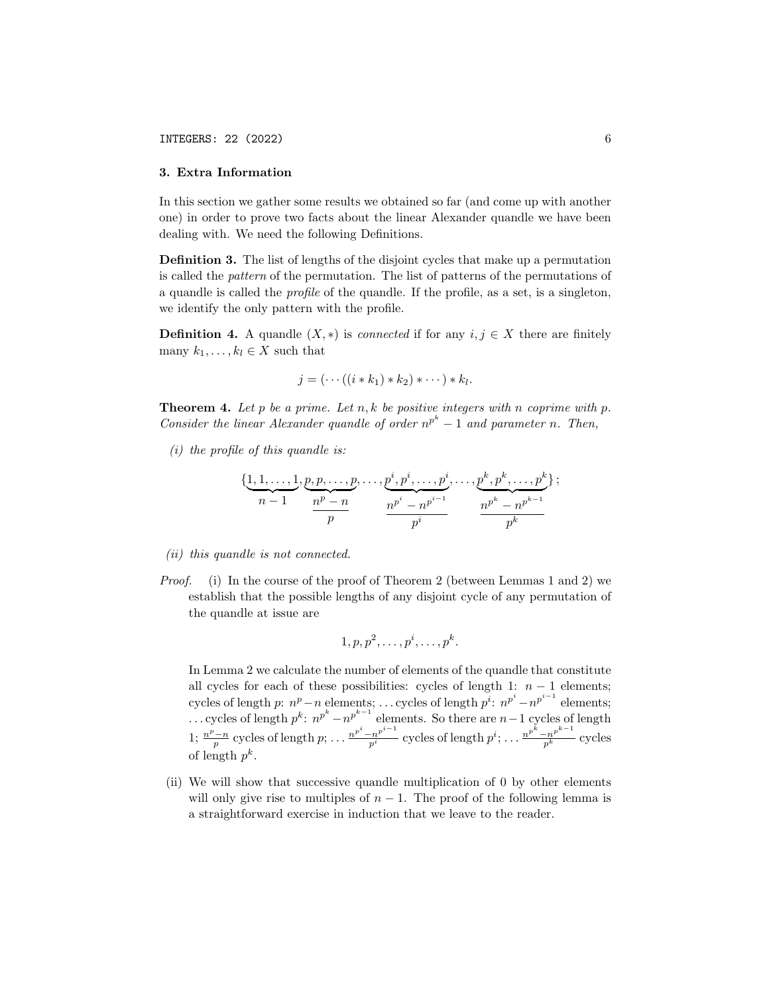### 3. Extra Information

In this section we gather some results we obtained so far (and come up with another one) in order to prove two facts about the linear Alexander quandle we have been dealing with. We need the following Definitions.

Definition 3. The list of lengths of the disjoint cycles that make up a permutation is called the pattern of the permutation. The list of patterns of the permutations of a quandle is called the profile of the quandle. If the profile, as a set, is a singleton, we identify the only pattern with the profile.

**Definition 4.** A quandle  $(X, *)$  is *connected* if for any  $i, j \in X$  there are finitely many  $k_1, \ldots, k_l \in X$  such that

$$
j=(\cdots((i*k_1)*k_2)*\cdots)*k_l.
$$

**Theorem 4.** Let p be a prime. Let n, k be positive integers with n coprime with p. Consider the linear Alexander quandle of order  $n^{p^k} - 1$  and parameter n. Then,

 $(i)$  the profile of this quandle is:

$$
\{\underbrace{1,1,\ldots,1}_{n-1},\underbrace{p,p,\ldots,p}_{p},\ldots,\underbrace{p^{i},p^{i},\ldots,p^{i}}_{n^{p^{i}}-n^{p^{i-1}}},\ldots,\underbrace{p^{k},p^{k},\ldots,p^{k}}_{p^{k}}\};
$$

- (ii) this quandle is not connected.
- Proof. (i) In the course of the proof of Theorem 2 (between Lemmas 1 and 2) we establish that the possible lengths of any disjoint cycle of any permutation of the quandle at issue are

$$
1, p, p^2, \ldots, p^i, \ldots, p^k.
$$

In Lemma 2 we calculate the number of elements of the quandle that constitute all cycles for each of these possibilities: cycles of length 1:  $n - 1$  elements; cycles of length p:  $n^p - n$  elements; ... cycles of length  $p^i$ :  $n^{p^i} - n^{p^{i-1}}$  elements; ... cycles of length  $p^k$ :  $n^{p^k} - n^{p^{k-1}}$  elements. So there are  $n-1$  cycles of length 1;  $\frac{n^p-n}{p}$  cycles of length  $p; \ldots \frac{n^{p^i}-n^{p^{i-1}}}{p^i}$  cycles of length  $p^i; \ldots \frac{n^{p^k}-n^{p^{k-1}}}{p^k}$  cycles of length  $p^k$ .

(ii) We will show that successive quandle multiplication of 0 by other elements will only give rise to multiples of  $n-1$ . The proof of the following lemma is a straightforward exercise in induction that we leave to the reader.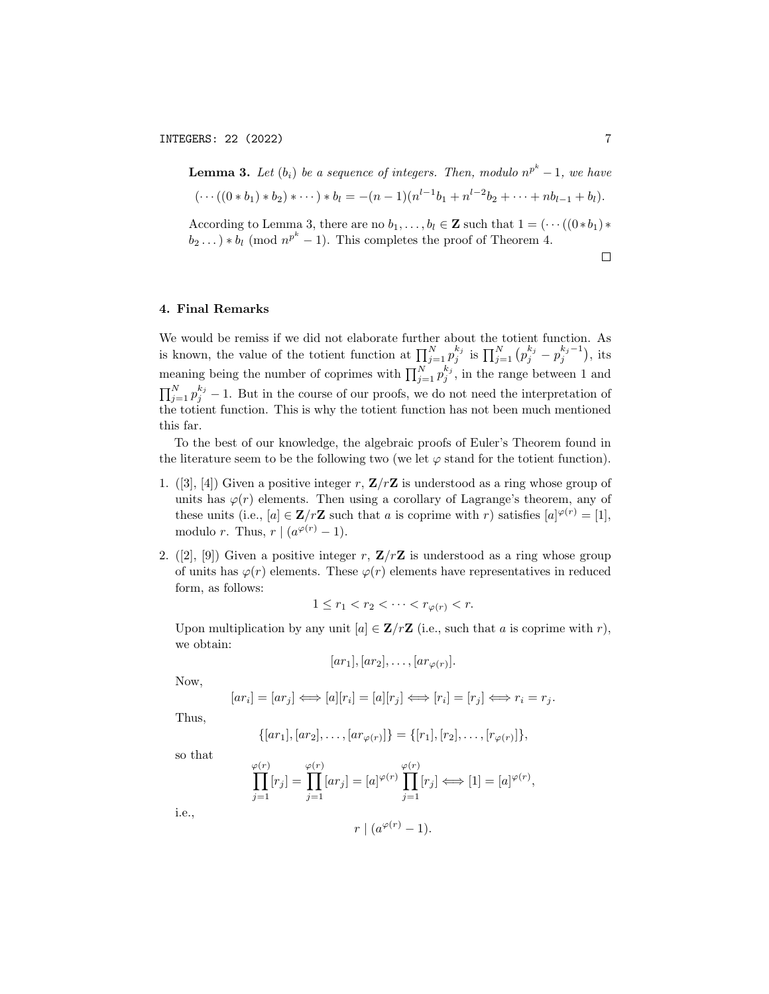**Lemma 3.** Let 
$$
(b_i)
$$
 be a sequence of integers. Then, modulo  $n^{p^k} - 1$ , we have  
\n $(\cdots((0 * b_1) * b_2) * \cdots) * b_l = -(n - 1)(n^{l-1}b_1 + n^{l-2}b_2 + \cdots + nb_{l-1} + b_l).$   
\nAccording to Lemma 3, there are no  $b_1, \ldots, b_l \in \mathbb{Z}$  such that  $1 = (\cdots((0 * b_1) * b_2 \ldots) * b_l \pmod{n^{p^k} - 1}$ . This completes the proof of Theorem 4.

 $\Box$ 

# 4. Final Remarks

We would be remiss if we did not elaborate further about the totient function. As is known, the value of the totient function at  $\prod_{j=1}^N p_j^{k_j}$  is  $\prod_{j=1}^N (p_j^{k_j} - p_j^{k_j-1})$ , its meaning being the number of coprimes with  $\prod_{j=1}^{N} p_j^{k_j}$ , in the range between 1 and  $\prod_{j=1}^{N} p_j^{k_j} - 1$ . But in the course of our proofs, we do not need the interpretation of the totient function. This is why the totient function has not been much mentioned this far.

To the best of our knowledge, the algebraic proofs of Euler's Theorem found in the literature seem to be the following two (we let  $\varphi$  stand for the totient function).

- 1. ([3], [4]) Given a positive integer r,  $\mathbf{Z}/r\mathbf{Z}$  is understood as a ring whose group of units has  $\varphi(r)$  elements. Then using a corollary of Lagrange's theorem, any of these units (i.e.,  $[a] \in \mathbb{Z}/r\mathbb{Z}$  such that a is coprime with r) satisfies  $[a]^{\varphi(r)} = [1]$ , modulo r. Thus,  $r \mid (a^{\varphi(r)} - 1)$ .
- 2. ([2], [9]) Given a positive integer r,  $\mathbf{Z}/r\mathbf{Z}$  is understood as a ring whose group of units has  $\varphi(r)$  elements. These  $\varphi(r)$  elements have representatives in reduced form, as follows:

$$
1 \le r_1 < r_2 < \cdots < r_{\varphi(r)} < r.
$$

Upon multiplication by any unit  $[a] \in \mathbb{Z}/r\mathbb{Z}$  (i.e., such that a is coprime with r), we obtain:

$$
[ar_1], [ar_2], \ldots, [ar_{\varphi(r)}].
$$

Now,

$$
[ar_i] = [ar_j] \iff [a][r_i] = [a][r_j] \iff [r_i] = [r_j] \iff r_i = r_j.
$$

Thus,

$$
\{[ar_1], [ar_2], \ldots, [ar_{\varphi(r)}]\} = \{[r_1], [r_2], \ldots, [r_{\varphi(r)}]\},\
$$

so that

$$
\prod_{j=1}^{\varphi(r)} [r_j] = \prod_{j=1}^{\varphi(r)} [ar_j] = [a]^{\varphi(r)} \prod_{j=1}^{\varphi(r)} [r_j] \Longleftrightarrow [1] = [a]^{\varphi(r)},
$$

i.e.,

$$
r \mid (a^{\varphi(r)} - 1).
$$